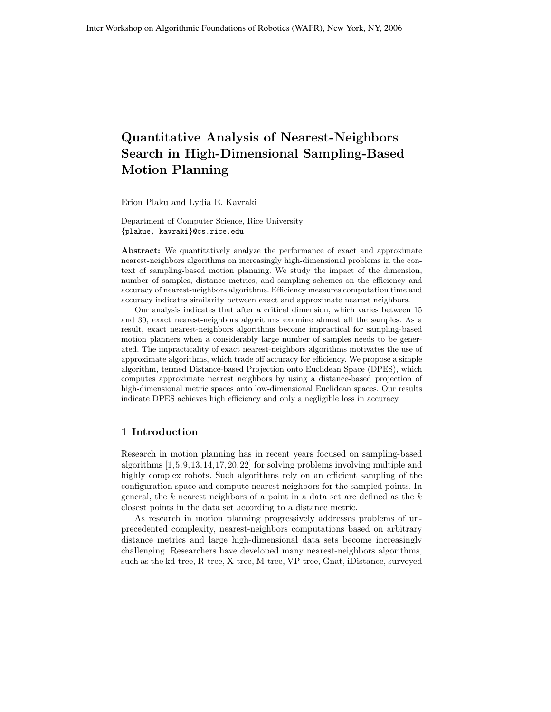# Quantitative Analysis of Nearest-Neighbors Search in High-Dimensional Sampling-Based Motion Planning

Erion Plaku and Lydia E. Kavraki

Department of Computer Science, Rice University {plakue, kavraki}@cs.rice.edu

Abstract: We quantitatively analyze the performance of exact and approximate nearest-neighbors algorithms on increasingly high-dimensional problems in the context of sampling-based motion planning. We study the impact of the dimension, number of samples, distance metrics, and sampling schemes on the efficiency and accuracy of nearest-neighbors algorithms. Efficiency measures computation time and accuracy indicates similarity between exact and approximate nearest neighbors.

Our analysis indicates that after a critical dimension, which varies between 15 and 30, exact nearest-neighbors algorithms examine almost all the samples. As a result, exact nearest-neighbors algorithms become impractical for sampling-based motion planners when a considerably large number of samples needs to be generated. The impracticality of exact nearest-neighbors algorithms motivates the use of approximate algorithms, which trade off accuracy for efficiency. We propose a simple algorithm, termed Distance-based Projection onto Euclidean Space (DPES), which computes approximate nearest neighbors by using a distance-based projection of high-dimensional metric spaces onto low-dimensional Euclidean spaces. Our results indicate DPES achieves high efficiency and only a negligible loss in accuracy.

# 1 Introduction

Research in motion planning has in recent years focused on sampling-based algorithms [1,5,9,13,14,17,20,22] for solving problems involving multiple and highly complex robots. Such algorithms rely on an efficient sampling of the configuration space and compute nearest neighbors for the sampled points. In general, the  $k$  nearest neighbors of a point in a data set are defined as the  $k$ closest points in the data set according to a distance metric.

As research in motion planning progressively addresses problems of unprecedented complexity, nearest-neighbors computations based on arbitrary distance metrics and large high-dimensional data sets become increasingly challenging. Researchers have developed many nearest-neighbors algorithms, such as the kd-tree, R-tree, X-tree, M-tree, VP-tree, Gnat, iDistance, surveyed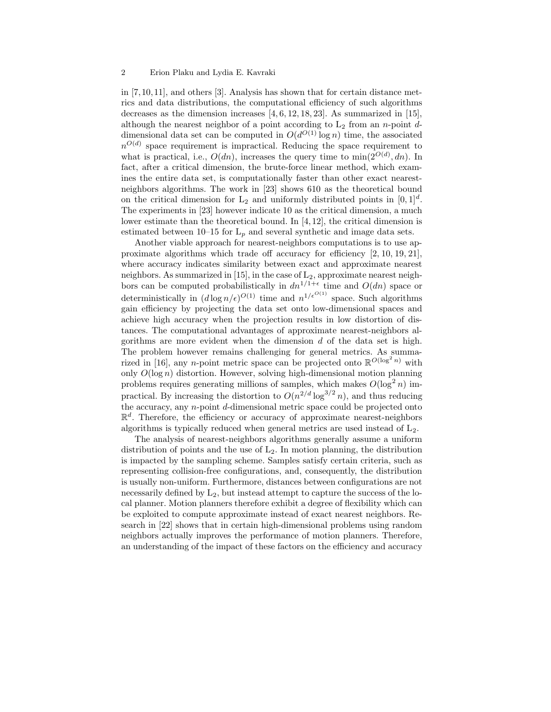## 2 Erion Plaku and Lydia E. Kavraki

in [7,10,11], and others [3]. Analysis has shown that for certain distance metrics and data distributions, the computational efficiency of such algorithms decreases as the dimension increases  $[4, 6, 12, 18, 23]$ . As summarized in  $[15]$ , although the nearest neighbor of a point according to  $L_2$  from an n-point ddimensional data set can be computed in  $O(d^{O(1)} \log n)$  time, the associated  $n^{O(d)}$  space requirement is impractical. Reducing the space requirement to what is practical, i.e.,  $O(dn)$ , increases the query time to  $\min(2^{O(d)}, dn)$ . In fact, after a critical dimension, the brute-force linear method, which examines the entire data set, is computationally faster than other exact nearestneighbors algorithms. The work in [23] shows 610 as the theoretical bound on the critical dimension for  $L_2$  and uniformly distributed points in  $[0, 1]^d$ . The experiments in [23] however indicate 10 as the critical dimension, a much lower estimate than the theoretical bound. In [4,12], the critical dimension is estimated between 10–15 for  $L_p$  and several synthetic and image data sets.

Another viable approach for nearest-neighbors computations is to use approximate algorithms which trade off accuracy for efficiency [2, 10, 19, 21], where accuracy indicates similarity between exact and approximate nearest neighbors. As summarized in [15], in the case of  $L_2$ , approximate nearest neighbors can be computed probabilistically in  $dn^{1/1+\epsilon}$  time and  $O(dn)$  space or deterministically in  $(d \log n/\epsilon)^{O(1)}$  time and  $n^{1/\epsilon^{O(1)}}$  space. Such algorithms gain efficiency by projecting the data set onto low-dimensional spaces and achieve high accuracy when the projection results in low distortion of distances. The computational advantages of approximate nearest-neighbors algorithms are more evident when the dimension d of the data set is high. The problem however remains challenging for general metrics. As summarized in [16], any *n*-point metric space can be projected onto  $\mathbb{R}^{O(\log^2 n)}$  with only  $O(\log n)$  distortion. However, solving high-dimensional motion planning problems requires generating millions of samples, which makes  $O(\log^2 n)$  impractical. By increasing the distortion to  $O(n^{2/d} \log^{3/2} n)$ , and thus reducing the accuracy, any n-point d-dimensional metric space could be projected onto  $\mathbb{R}^d$ . Therefore, the efficiency or accuracy of approximate nearest-neighbors algorithms is typically reduced when general metrics are used instead of  $L_2$ .

The analysis of nearest-neighbors algorithms generally assume a uniform distribution of points and the use of  $L_2$ . In motion planning, the distribution is impacted by the sampling scheme. Samples satisfy certain criteria, such as representing collision-free configurations, and, consequently, the distribution is usually non-uniform. Furthermore, distances between configurations are not necessarily defined by  $L_2$ , but instead attempt to capture the success of the local planner. Motion planners therefore exhibit a degree of flexibility which can be exploited to compute approximate instead of exact nearest neighbors. Research in [22] shows that in certain high-dimensional problems using random neighbors actually improves the performance of motion planners. Therefore, an understanding of the impact of these factors on the efficiency and accuracy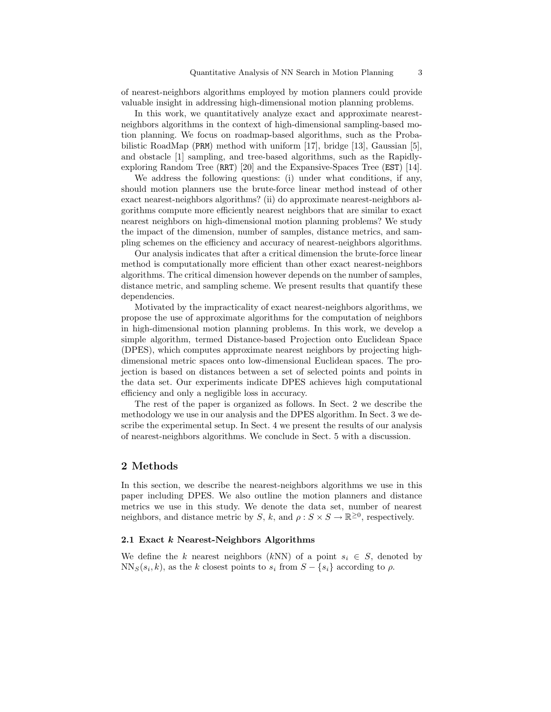of nearest-neighbors algorithms employed by motion planners could provide valuable insight in addressing high-dimensional motion planning problems.

In this work, we quantitatively analyze exact and approximate nearestneighbors algorithms in the context of high-dimensional sampling-based motion planning. We focus on roadmap-based algorithms, such as the Probabilistic RoadMap (PRM) method with uniform [17], bridge [13], Gaussian [5], and obstacle [1] sampling, and tree-based algorithms, such as the Rapidlyexploring Random Tree (RRT) [20] and the Expansive-Spaces Tree (EST) [14].

We address the following questions: (i) under what conditions, if any, should motion planners use the brute-force linear method instead of other exact nearest-neighbors algorithms? (ii) do approximate nearest-neighbors algorithms compute more efficiently nearest neighbors that are similar to exact nearest neighbors on high-dimensional motion planning problems? We study the impact of the dimension, number of samples, distance metrics, and sampling schemes on the efficiency and accuracy of nearest-neighbors algorithms.

Our analysis indicates that after a critical dimension the brute-force linear method is computationally more efficient than other exact nearest-neighbors algorithms. The critical dimension however depends on the number of samples, distance metric, and sampling scheme. We present results that quantify these dependencies.

Motivated by the impracticality of exact nearest-neighbors algorithms, we propose the use of approximate algorithms for the computation of neighbors in high-dimensional motion planning problems. In this work, we develop a simple algorithm, termed Distance-based Projection onto Euclidean Space (DPES), which computes approximate nearest neighbors by projecting highdimensional metric spaces onto low-dimensional Euclidean spaces. The projection is based on distances between a set of selected points and points in the data set. Our experiments indicate DPES achieves high computational efficiency and only a negligible loss in accuracy.

The rest of the paper is organized as follows. In Sect. 2 we describe the methodology we use in our analysis and the DPES algorithm. In Sect. 3 we describe the experimental setup. In Sect. 4 we present the results of our analysis of nearest-neighbors algorithms. We conclude in Sect. 5 with a discussion.

## 2 Methods

In this section, we describe the nearest-neighbors algorithms we use in this paper including DPES. We also outline the motion planners and distance metrics we use in this study. We denote the data set, number of nearest neighbors, and distance metric by S, k, and  $\rho: S \times S \to \mathbb{R}^{\geq 0}$ , respectively.

#### 2.1 Exact k Nearest-Neighbors Algorithms

We define the k nearest neighbors (kNN) of a point  $s_i \in S$ , denoted by  $NN<sub>S</sub>(s<sub>i</sub>, k)$ , as the k closest points to  $s<sub>i</sub>$  from  $S - \{s<sub>i</sub>\}$  according to  $\rho$ .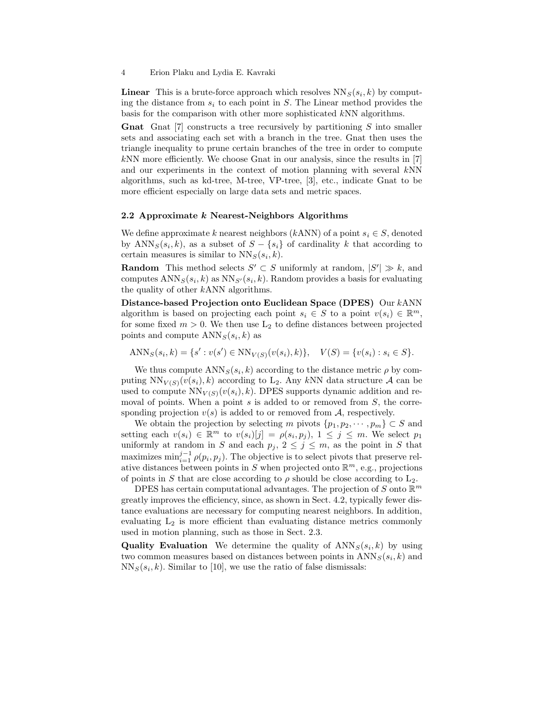**Linear** This is a brute-force approach which resolves  $NN_S(s_i, k)$  by computing the distance from  $s_i$  to each point in S. The Linear method provides the basis for the comparison with other more sophisticated kNN algorithms.

**Gnat** Gnat  $[7]$  constructs a tree recursively by partitioning S into smaller sets and associating each set with a branch in the tree. Gnat then uses the triangle inequality to prune certain branches of the tree in order to compute kNN more efficiently. We choose Gnat in our analysis, since the results in [7] and our experiments in the context of motion planning with several kNN algorithms, such as kd-tree, M-tree, VP-tree, [3], etc., indicate Gnat to be more efficient especially on large data sets and metric spaces.

#### 2.2 Approximate k Nearest-Neighbors Algorithms

We define approximate k nearest neighbors (kANN) of a point  $s_i \in S$ , denoted by  $\text{ANN}_S(s_i, k)$ , as a subset of  $S - \{s_i\}$  of cardinality k that according to certain measures is similar to  $NN<sub>S</sub>(s<sub>i</sub>, k)$ .

**Random** This method selects  $S' \subset S$  uniformly at random,  $|S'| \gg k$ , and computes  $\text{ANN}_S(s_i, k)$  as  $\text{NN}_{S'}(s_i, k)$ . Random provides a basis for evaluating the quality of other kANN algorithms.

Distance-based Projection onto Euclidean Space (DPES) Our kANN algorithm is based on projecting each point  $s_i \in S$  to a point  $v(s_i) \in \mathbb{R}^m$ , for some fixed  $m > 0$ . We then use  $L_2$  to define distances between projected points and compute  $\text{ANN}_S(s_i, k)$  as

$$
\text{ANN}_S(s_i, k) = \{s' : v(s') \in \text{NN}_{V(S)}(v(s_i), k)\}, \quad V(S) = \{v(s_i) : s_i \in S\}.
$$

We thus compute  $\text{ANN}_S(s_i, k)$  according to the distance metric  $\rho$  by computing  $NN_{V(S)}(v(s_i), k)$  according to L<sub>2</sub>. Any kNN data structure A can be used to compute  $NN_{V(S)}(v(s_i), k)$ . DPES supports dynamic addition and removal of points. When a point  $s$  is added to or removed from  $S$ , the corresponding projection  $v(s)$  is added to or removed from A, respectively.

We obtain the projection by selecting m pivots  $\{p_1, p_2, \dots, p_m\} \subset S$  and setting each  $v(s_i) \in \mathbb{R}^m$  to  $v(s_i)[j] = \rho(s_i, p_j)$ ,  $1 \leq j \leq m$ . We select  $p_1$ uniformly at random in S and each  $p_j$ ,  $2 \leq j \leq m$ , as the point in S that maximizes  $\min_{i=1}^{j-1} \rho(p_i, p_j)$ . The objective is to select pivots that preserve relative distances between points in S when projected onto  $\mathbb{R}^m$ , e.g., projections of points in S that are close according to  $\rho$  should be close according to  $L_2$ .

DPES has certain computational advantages. The projection of S onto  $\mathbb{R}^m$ greatly improves the efficiency, since, as shown in Sect. 4.2, typically fewer distance evaluations are necessary for computing nearest neighbors. In addition, evaluating  $L_2$  is more efficient than evaluating distance metrics commonly used in motion planning, such as those in Sect. 2.3.

**Quality Evaluation** We determine the quality of  $\text{ANN}_S(s_i, k)$  by using two common measures based on distances between points in  $\text{ANN}_S(s_i, k)$  and  $NN<sub>S</sub>(s<sub>i</sub>, k)$ . Similar to [10], we use the ratio of false dismissals:

<sup>4</sup> Erion Plaku and Lydia E. Kavraki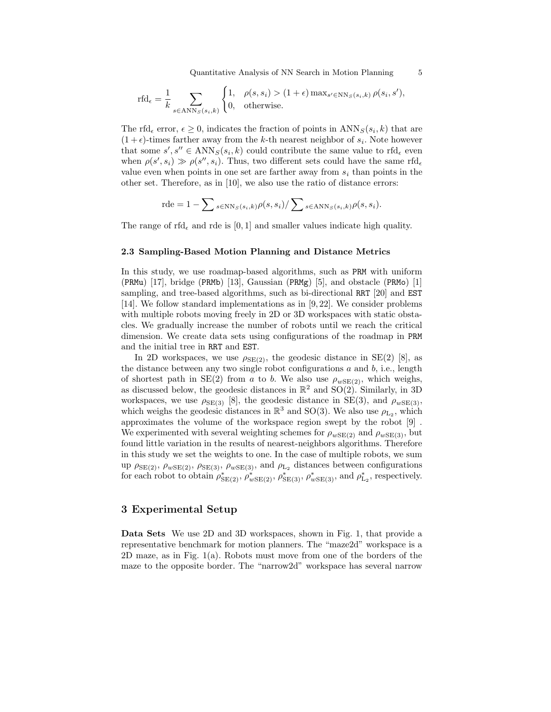Quantitative Analysis of NN Search in Motion Planning 5

$$
\text{rfd}_{\epsilon} = \frac{1}{k} \sum_{s \in \text{ANN}_S(s_i, k)} \begin{cases} 1, & \rho(s, s_i) > (1 + \epsilon) \max_{s' \in \text{NN}_S(s_i, k)} \rho(s_i, s'), \\ 0, & \text{otherwise.} \end{cases}
$$

The rfd<sub>e</sub> error,  $\epsilon \geq 0$ , indicates the fraction of points in  $\text{ANN}_S(s_i, k)$  that are  $(1 + \epsilon)$ -times farther away from the k-th nearest neighbor of  $s_i$ . Note however that some  $s', s'' \in \text{ANN}_S(s_i, k)$  could contribute the same value to rfd<sub>e</sub> even when  $\rho(s', s_i) \gg \rho(s'', s_i)$ . Thus, two different sets could have the same rfd<sub>e</sub> value even when points in one set are farther away from  $s_i$  than points in the other set. Therefore, as in [10], we also use the ratio of distance errors:

$$
\mathrm{rde} = 1 - \sum_{s \in \mathrm{NN}_S(s_i, k)} \rho(s, s_i) / \sum_{s \in \mathrm{ANN}_S(s_i, k)} \rho(s, s_i).
$$

The range of rfd<sub> $\epsilon$ </sub> and rde is [0, 1] and smaller values indicate high quality.

#### 2.3 Sampling-Based Motion Planning and Distance Metrics

In this study, we use roadmap-based algorithms, such as PRM with uniform (PRMu) [17], bridge (PRMb) [13], Gaussian (PRMg) [5], and obstacle (PRMo) [1] sampling, and tree-based algorithms, such as bi-directional RRT [20] and EST [14]. We follow standard implementations as in [9, 22]. We consider problems with multiple robots moving freely in 2D or 3D workspaces with static obstacles. We gradually increase the number of robots until we reach the critical dimension. We create data sets using configurations of the roadmap in PRM and the initial tree in RRT and EST.

In 2D workspaces, we use  $\rho_{SE(2)}$ , the geodesic distance in SE(2) [8], as the distance between any two single robot configurations  $a$  and  $b$ , i.e., length of shortest path in SE(2) from a to b. We also use  $\rho_{wSE(2)}$ , which weighs, as discussed below, the geodesic distances in  $\mathbb{R}^2$  and  $SO(2)$ . Similarly, in 3D workspaces, we use  $\rho_{SE(3)}$  [8], the geodesic distance in SE(3), and  $\rho_{wSE(3)}$ , which weighs the geodesic distances in  $\mathbb{R}^3$  and SO(3). We also use  $\rho_{L_2}$ , which approximates the volume of the workspace region swept by the robot [9] . We experimented with several weighting schemes for  $\rho_{wSE(2)}$  and  $\rho_{wSE(3)}$ , but found little variation in the results of nearest-neighbors algorithms. Therefore in this study we set the weights to one. In the case of multiple robots, we sum up  $\rho_{SE(2)}$ ,  $\rho_{wSE(2)}$ ,  $\rho_{SE(3)}$ ,  $\rho_{wSE(3)}$ , and  $\rho_{L_2}$  distances between configurations for each robot to obtain  $\rho_{SE(2)}^*$ ,  $\rho_{wSE(2)}^*$ ,  $\rho_{SE(3)}^*$ ,  $\rho_{wSE(3)}^*$ , and  $\rho_{L_2}^*$ , respectively.

# 3 Experimental Setup

Data Sets We use 2D and 3D workspaces, shown in Fig. 1, that provide a representative benchmark for motion planners. The "maze2d" workspace is a 2D maze, as in Fig. 1(a). Robots must move from one of the borders of the maze to the opposite border. The "narrow2d" workspace has several narrow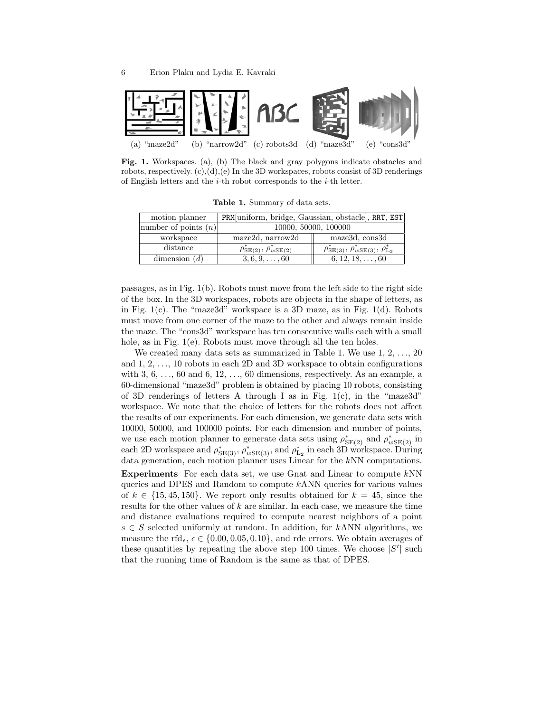

Fig. 1. Workspaces. (a), (b) The black and gray polygons indicate obstacles and robots, respectively.  $(c), (d), (e)$  In the 3D workspaces, robots consist of 3D renderings of English letters and the  $i$ -th robot corresponds to the  $i$ -th letter.

Table 1. Summary of data sets.

| motion planner         | PRM uniform, bridge, Gaussian, obstacle, RRT, EST |                                                                      |  |  |  |  |  |  |
|------------------------|---------------------------------------------------|----------------------------------------------------------------------|--|--|--|--|--|--|
| number of points $(n)$ | 10000, 50000, 100000                              |                                                                      |  |  |  |  |  |  |
| workspace              | maze2d, narrow2d                                  | maze3d, cons3d                                                       |  |  |  |  |  |  |
| distance               | $\rho^*_{SE(2)}, \rho^*_{wSE(2)}$                 | $\rho^*_{\text{SE}(3)}, \rho^*_{w\text{SE}(3)}, \rho^*_{\text{L}_2}$ |  |  |  |  |  |  |
| dimension $(d)$        | $3, 6, 9, \ldots, 60$                             | $6, 12, 18, \ldots, 60$                                              |  |  |  |  |  |  |

passages, as in Fig. 1(b). Robots must move from the left side to the right side of the box. In the 3D workspaces, robots are objects in the shape of letters, as in Fig. 1(c). The "maze3d" workspace is a 3D maze, as in Fig. 1(d). Robots must move from one corner of the maze to the other and always remain inside the maze. The "cons3d" workspace has ten consecutive walls each with a small hole, as in Fig. 1(e). Robots must move through all the ten holes.

We created many data sets as summarized in Table 1. We use  $1, 2, \ldots, 20$ and  $1, 2, \ldots, 10$  robots in each 2D and 3D workspace to obtain configurations with  $3, 6, \ldots, 60$  and  $6, 12, \ldots, 60$  dimensions, respectively. As an example, a 60-dimensional "maze3d" problem is obtained by placing 10 robots, consisting of 3D renderings of letters A through I as in Fig.  $1(c)$ , in the "maze3d" workspace. We note that the choice of letters for the robots does not affect the results of our experiments. For each dimension, we generate data sets with 10000, 50000, and 100000 points. For each dimension and number of points, we use each motion planner to generate data sets using  $\rho_{SE(2)}^*$  and  $\rho_{wSE(2)}^*$  in each 2D workspace and  $\rho_{\rm SE(3)}^*$ ,  $\rho_{wSE(3)}^*$ , and  $\rho_{\rm L_2}^*$  in each 3D workspace. During data generation, each motion planner uses Linear for the kNN computations.

Experiments For each data set, we use Gnat and Linear to compute kNN queries and DPES and Random to compute kANN queries for various values of  $k \in \{15, 45, 150\}$ . We report only results obtained for  $k = 45$ , since the results for the other values of  $k$  are similar. In each case, we measure the time and distance evaluations required to compute nearest neighbors of a point  $s \in S$  selected uniformly at random. In addition, for kANN algorithms, we measure the rfd<sub> $\epsilon$ </sub>,  $\epsilon \in \{0.00, 0.05, 0.10\}$ , and rde errors. We obtain averages of these quantities by repeating the above step 100 times. We choose  $|S'|$  such that the running time of Random is the same as that of DPES.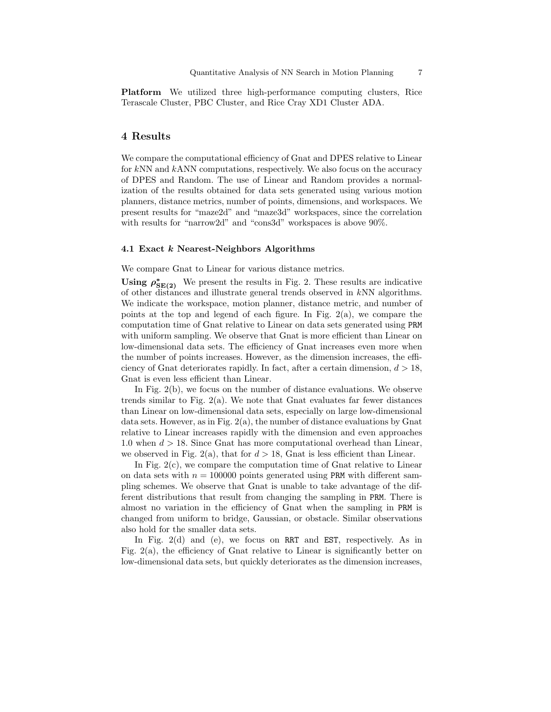Platform We utilized three high-performance computing clusters, Rice Terascale Cluster, PBC Cluster, and Rice Cray XD1 Cluster ADA.

## 4 Results

We compare the computational efficiency of Gnat and DPES relative to Linear for kNN and kANN computations, respectively. We also focus on the accuracy of DPES and Random. The use of Linear and Random provides a normalization of the results obtained for data sets generated using various motion planners, distance metrics, number of points, dimensions, and workspaces. We present results for "maze2d" and "maze3d" workspaces, since the correlation with results for "narrow2d" and "cons3d" workspaces is above  $90\%$ .

#### 4.1 Exact k Nearest-Neighbors Algorithms

We compare Gnat to Linear for various distance metrics.

Using  $\rho_{SE(2)}^*$  We present the results in Fig. 2. These results are indicative of other distances and illustrate general trends observed in kNN algorithms. We indicate the workspace, motion planner, distance metric, and number of points at the top and legend of each figure. In Fig. 2(a), we compare the computation time of Gnat relative to Linear on data sets generated using PRM with uniform sampling. We observe that Gnat is more efficient than Linear on low-dimensional data sets. The efficiency of Gnat increases even more when the number of points increases. However, as the dimension increases, the efficiency of Gnat deteriorates rapidly. In fact, after a certain dimension,  $d > 18$ , Gnat is even less efficient than Linear.

In Fig. 2(b), we focus on the number of distance evaluations. We observe trends similar to Fig.  $2(a)$ . We note that Gnat evaluates far fewer distances than Linear on low-dimensional data sets, especially on large low-dimensional data sets. However, as in Fig.  $2(a)$ , the number of distance evaluations by Gnat relative to Linear increases rapidly with the dimension and even approaches 1.0 when  $d > 18$ . Since Gnat has more computational overhead than Linear, we observed in Fig. 2(a), that for  $d > 18$ , Gnat is less efficient than Linear.

In Fig. 2(c), we compare the computation time of Gnat relative to Linear on data sets with  $n = 100000$  points generated using PRM with different sampling schemes. We observe that Gnat is unable to take advantage of the different distributions that result from changing the sampling in PRM. There is almost no variation in the efficiency of Gnat when the sampling in PRM is changed from uniform to bridge, Gaussian, or obstacle. Similar observations also hold for the smaller data sets.

In Fig. 2(d) and (e), we focus on RRT and EST, respectively. As in Fig.  $2(a)$ , the efficiency of Gnat relative to Linear is significantly better on low-dimensional data sets, but quickly deteriorates as the dimension increases,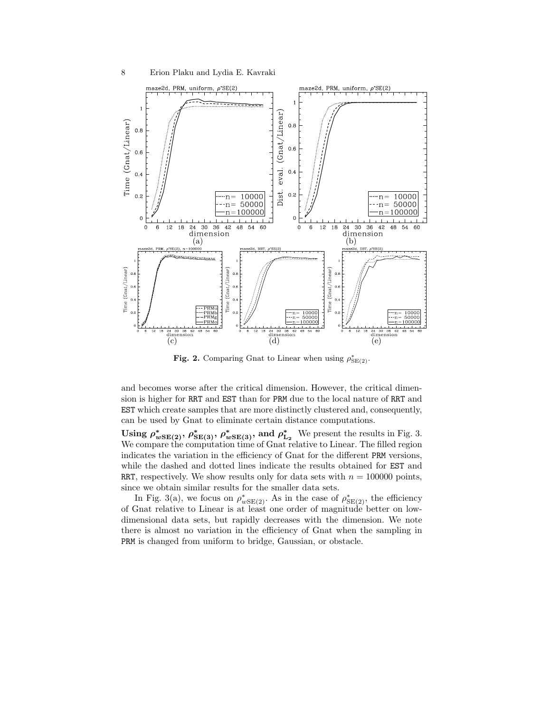

Fig. 2. Comparing Gnat to Linear when using  $\rho_{SE(2)}^*$ .

and becomes worse after the critical dimension. However, the critical dimension is higher for RRT and EST than for PRM due to the local nature of RRT and EST which create samples that are more distinctly clustered and, consequently, can be used by Gnat to eliminate certain distance computations.

Using  $\rho_{wSE(2)}^*$ ,  $\rho_{SE(3)}^*$ ,  $\rho_{wSE(3)}^*$ , and  $\rho_{L_2}^*$ . We present the results in Fig. 3. We compare the computation time of Gnat relative to Linear. The filled region indicates the variation in the efficiency of Gnat for the different PRM versions, while the dashed and dotted lines indicate the results obtained for EST and RRT, respectively. We show results only for data sets with  $n = 100000$  points, since we obtain similar results for the smaller data sets.

In Fig. 3(a), we focus on  $\rho_{wSE(2)}^*$ . As in the case of  $\rho_{SE(2)}^*$ , the efficiency of Gnat relative to Linear is at least one order of magnitude better on lowdimensional data sets, but rapidly decreases with the dimension. We note there is almost no variation in the efficiency of Gnat when the sampling in PRM is changed from uniform to bridge, Gaussian, or obstacle.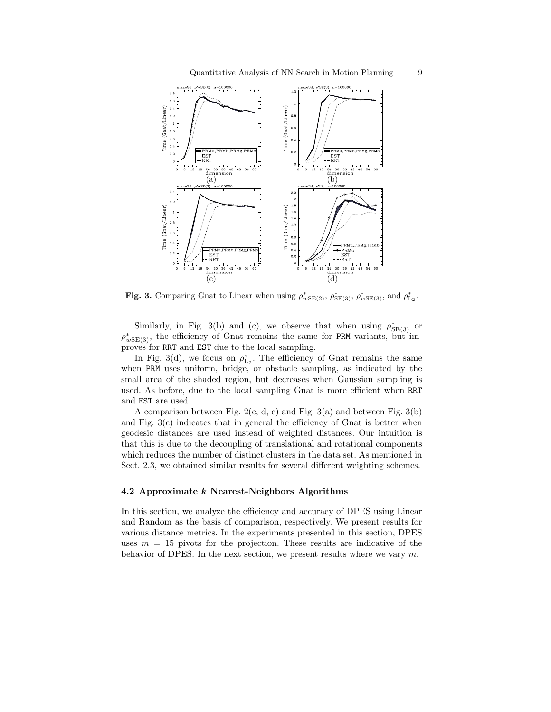

Fig. 3. Comparing Gnat to Linear when using  $\rho_{wSE(2)}^*$ ,  $\rho_{wSE(3)}^*$ ,  $\rho_{wSE(3)}^*$ , and  $\rho_{L_2}^*$ .

Similarly, in Fig. 3(b) and (c), we observe that when using  $\rho_{SE(3)}^*$  or  $\rho_{wSE(3)}^*$ , the efficiency of Gnat remains the same for PRM variants, but improves for RRT and EST due to the local sampling.

In Fig. 3(d), we focus on  $\rho_{\text{L}_2}^*$ . The efficiency of Gnat remains the same when PRM uses uniform, bridge, or obstacle sampling, as indicated by the small area of the shaded region, but decreases when Gaussian sampling is used. As before, due to the local sampling Gnat is more efficient when RRT and EST are used.

A comparison between Fig.  $2(c, d, e)$  and Fig.  $3(a)$  and between Fig.  $3(b)$ and Fig.  $3(c)$  indicates that in general the efficiency of Gnat is better when geodesic distances are used instead of weighted distances. Our intuition is that this is due to the decoupling of translational and rotational components which reduces the number of distinct clusters in the data set. As mentioned in Sect. 2.3, we obtained similar results for several different weighting schemes.

### 4.2 Approximate k Nearest-Neighbors Algorithms

In this section, we analyze the efficiency and accuracy of DPES using Linear and Random as the basis of comparison, respectively. We present results for various distance metrics. In the experiments presented in this section, DPES uses  $m = 15$  pivots for the projection. These results are indicative of the behavior of DPES. In the next section, we present results where we vary  $m$ .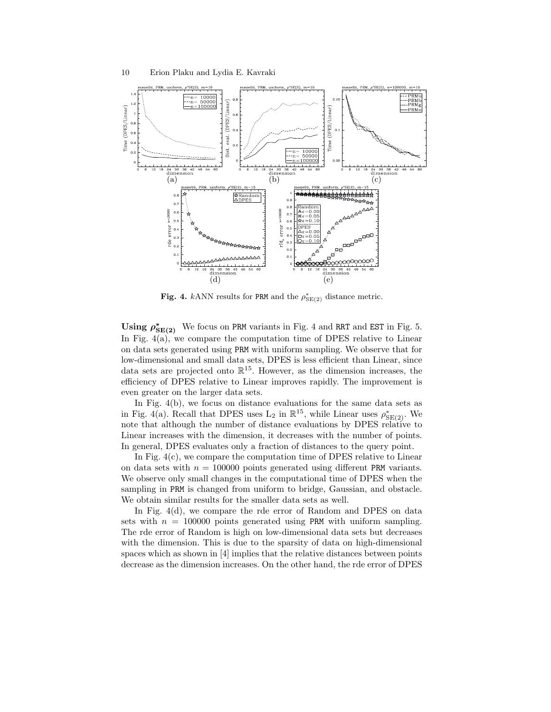

Fig. 4. kANN results for PRM and the  $\rho_{\text{SE}(2)}^{*}$  distance metric.

Using  $\rho_{SE(2)}^*$  We focus on PRM variants in Fig. 4 and RRT and EST in Fig. 5. In Fig. 4(a), we compare the computation time of DPES relative to Linear on data sets generated using PRM with uniform sampling. We observe that for low-dimensional and small data sets, DPES is less efficient than Linear, since data sets are projected onto  $\mathbb{R}^{15}$ . However, as the dimension increases, the efficiency of DPES relative to Linear improves rapidly. The improvement is even greater on the larger data sets.

In Fig. 4(b), we focus on distance evaluations for the same data sets as in Fig. 4(a). Recall that DPES uses  $L_2$  in  $\mathbb{R}^{15}$ , while Linear uses  $\rho_{SE(2)}^*$ . We note that although the number of distance evaluations by DPES relative to Linear increases with the dimension, it decreases with the number of points. In general, DPES evaluates only a fraction of distances to the query point.

In Fig. 4(c), we compare the computation time of DPES relative to Linear on data sets with  $n = 100000$  points generated using different PRM variants. We observe only small changes in the computational time of DPES when the sampling in PRM is changed from uniform to bridge, Gaussian, and obstacle. We obtain similar results for the smaller data sets as well.

In Fig. 4(d), we compare the rde error of Random and DPES on data sets with  $n = 100000$  points generated using PRM with uniform sampling. The rde error of Random is high on low-dimensional data sets but decreases with the dimension. This is due to the sparsity of data on high-dimensional spaces which as shown in [4] implies that the relative distances between points decrease as the dimension increases. On the other hand, the rde error of DPES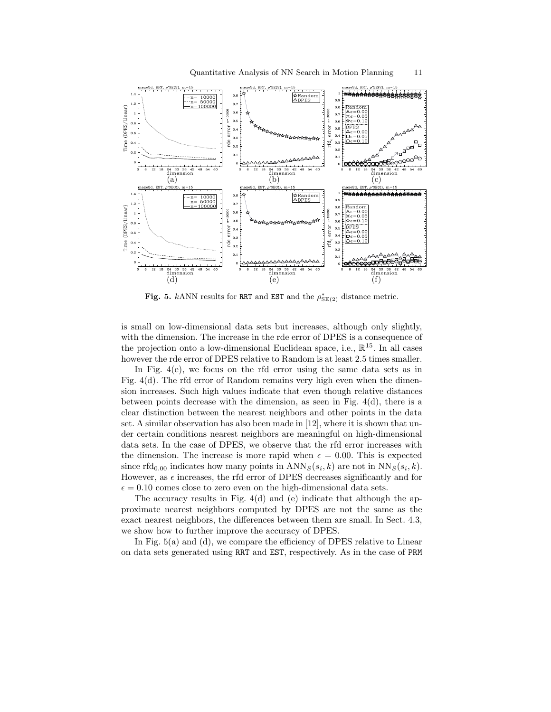



Fig. 5. kANN results for RRT and EST and the  $\rho_{\text{SE}(2)}^*$  distance metric.

is small on low-dimensional data sets but increases, although only slightly, with the dimension. The increase in the rde error of DPES is a consequence of the projection onto a low-dimensional Euclidean space, i.e.,  $\mathbb{R}^{15}$ . In all cases however the rde error of DPES relative to Random is at least 2.5 times smaller.

In Fig. 4(e), we focus on the rfd error using the same data sets as in Fig. 4(d). The rfd error of Random remains very high even when the dimension increases. Such high values indicate that even though relative distances between points decrease with the dimension, as seen in Fig. 4(d), there is a clear distinction between the nearest neighbors and other points in the data set. A similar observation has also been made in [12], where it is shown that under certain conditions nearest neighbors are meaningful on high-dimensional data sets. In the case of DPES, we observe that the rfd error increases with the dimension. The increase is more rapid when  $\epsilon = 0.00$ . This is expected since rfd<sub>0.00</sub> indicates how many points in  $\text{ANN}_S(s_i, k)$  are not in  $\text{NN}_S(s_i, k)$ . However, as  $\epsilon$  increases, the rfd error of DPES decreases significantly and for  $\epsilon = 0.10$  comes close to zero even on the high-dimensional data sets.

The accuracy results in Fig. 4(d) and (e) indicate that although the approximate nearest neighbors computed by DPES are not the same as the exact nearest neighbors, the differences between them are small. In Sect. 4.3, we show how to further improve the accuracy of DPES.

In Fig. 5(a) and (d), we compare the efficiency of DPES relative to Linear on data sets generated using RRT and EST, respectively. As in the case of PRM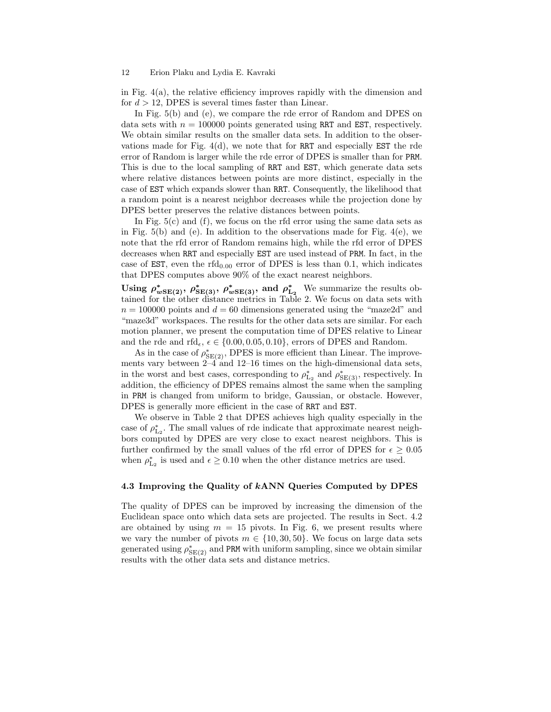#### 12 Erion Plaku and Lydia E. Kavraki

in Fig.  $4(a)$ , the relative efficiency improves rapidly with the dimension and for  $d > 12$ , DPES is several times faster than Linear.

In Fig.  $5(b)$  and (e), we compare the rde error of Random and DPES on data sets with  $n = 100000$  points generated using RRT and EST, respectively. We obtain similar results on the smaller data sets. In addition to the observations made for Fig.  $4(d)$ , we note that for RRT and especially EST the rde error of Random is larger while the rde error of DPES is smaller than for PRM. This is due to the local sampling of RRT and EST, which generate data sets where relative distances between points are more distinct, especially in the case of EST which expands slower than RRT. Consequently, the likelihood that a random point is a nearest neighbor decreases while the projection done by DPES better preserves the relative distances between points.

In Fig.  $5(c)$  and  $(f)$ , we focus on the rfd error using the same data sets as in Fig.  $5(b)$  and (e). In addition to the observations made for Fig.  $4(e)$ , we note that the rfd error of Random remains high, while the rfd error of DPES decreases when RRT and especially EST are used instead of PRM. In fact, in the case of EST, even the rfd<sub>0.00</sub> error of DPES is less than 0.1, which indicates that DPES computes above 90% of the exact nearest neighbors.

Using  $\rho_{wSE(2)}^*$ ,  $\rho_{SE(3)}^*$ ,  $\rho_{wSE(3)}^*$ , and  $\rho_{L_2}^*$  We summarize the results obtained for the other distance metrics in Table 2. We focus on data sets with  $n = 100000$  points and  $d = 60$  dimensions generated using the "maze2d" and "maze3d" workspaces. The results for the other data sets are similar. For each motion planner, we present the computation time of DPES relative to Linear and the rde and rfd<sub>e</sub>,  $\epsilon \in \{0.00, 0.05, 0.10\}$ , errors of DPES and Random.

As in the case of  $\rho_{\mathrm{SE}(2)}^{*}$ , DPES is more efficient than Linear. The improvements vary between  $2-4$  and  $12-16$  times on the high-dimensional data sets, in the worst and best cases, corresponding to  $\rho_{\mathrm{L}_2}^*$  and  $\rho_{\mathrm{SE}(3)}^*$ , respectively. In addition, the efficiency of DPES remains almost the same when the sampling in PRM is changed from uniform to bridge, Gaussian, or obstacle. However, DPES is generally more efficient in the case of RRT and EST.

We observe in Table 2 that DPES achieves high quality especially in the case of  $\rho_{\text{L}_2}^*$ . The small values of rde indicate that approximate nearest neighbors computed by DPES are very close to exact nearest neighbors. This is further confirmed by the small values of the rfd error of DPES for  $\epsilon \geq 0.05$ when  $\rho_{L_2}^*$  is used and  $\epsilon \geq 0.10$  when the other distance metrics are used.

## 4.3 Improving the Quality of kANN Queries Computed by DPES

The quality of DPES can be improved by increasing the dimension of the Euclidean space onto which data sets are projected. The results in Sect. 4.2 are obtained by using  $m = 15$  pivots. In Fig. 6, we present results where we vary the number of pivots  $m \in \{10, 30, 50\}$ . We focus on large data sets generated using  $\rho_{\mathrm{SE}(2)}^{*}$  and PRM with uniform sampling, since we obtain similar results with the other data sets and distance metrics.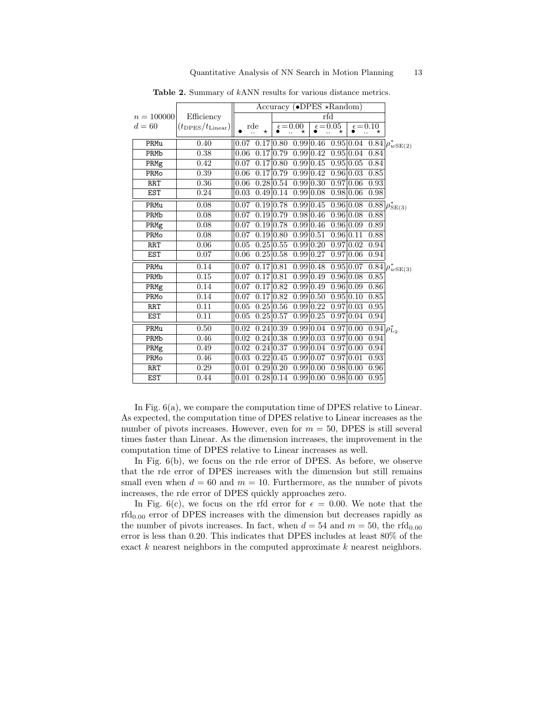|              |                                | Accuracy ( $\bullet$ DPES *Random) |                 |                |                   |                        |                   |                        |                              |                                                  |
|--------------|--------------------------------|------------------------------------|-----------------|----------------|-------------------|------------------------|-------------------|------------------------|------------------------------|--------------------------------------------------|
| $n = 100000$ | Efficiency                     |                                    |                 | rfd            |                   |                        |                   |                        |                              |                                                  |
| $d=60$       | $(t_{\rm DPS}/t_{\rm Linear})$ |                                    | rde<br>$^\star$ |                | $\epsilon = 0.00$ |                        | $\epsilon = 0.05$ |                        | $\epsilon = 0.10$<br>$\star$ |                                                  |
| PRMu         | 0.40                           | 0.07                               |                 | 0.17 0.80      |                   |                        |                   |                        |                              | $0.99 0.46 \t 0.95 0.04 \t 0.84 \rho_{wSE(2)}^*$ |
| PRMb         | 0.38                           | 0.06                               |                 | 0.17 0.79      |                   | 0.99 0.42              |                   | 0.95 0.04              | 0.84                         |                                                  |
| PRMg         | 0.42                           | 0.07                               |                 | 0.1710.80      |                   | $0.99 \, 0.45$         |                   | 0.95 0.05              | 0.84                         |                                                  |
| PRMo         | 0.39                           | 0.06                               |                 | 0.17 0.79      |                   | $0.99\,0.42$           |                   | 0.96 0.03              | 0.85                         |                                                  |
| <b>RRT</b>   | 0.36                           | 0.06                               |                 | $0.28\,0.54$   |                   | $0.99\,0.30$           |                   | 0.97 0.06              | 0.93                         |                                                  |
| <b>EST</b>   | 0.24                           | 0.03                               |                 | 0.49 0.14      |                   | 0.99 0.08              |                   | 0.98 0.06              | 0.98                         |                                                  |
| PRMu         | 0.08                           | 0.07                               |                 | 0.19 0.78      |                   | 0.99 0.45              |                   | 0.96 0.08              |                              | $0.88 \rho^*_{SE(3)}$                            |
| PRMb         | 0.08                           | 0.07                               |                 | $0.19\ 0.79$   |                   | 0.98 0.46              |                   | 0.96 0.08              | 0.88                         |                                                  |
| PRMg         | 0.08                           | 0.07                               |                 | $0.19 \, 0.78$ |                   | $\overline{0.99}$ 0.46 |                   | 0.96 0.09              | 0.89                         |                                                  |
| PRMo         | 0.08                           | 0.07                               |                 | $0.19\,0.80$   |                   | 0.99 0.51              |                   | 0.96 0.11              | 0.88                         |                                                  |
| <b>RRT</b>   | 0.06                           | 0.05                               |                 | $0.25\,0.55$   |                   | 0.99 0.20              |                   | 0.97 0.02              | 0.94                         |                                                  |
| <b>EST</b>   | 0.07                           | 0.06                               |                 | $0.25 \, 0.58$ |                   | $0.99 \, 0.27$         |                   | 0.97 0.06              | 0.94                         |                                                  |
| PRMu         | 0.14                           | 0.07                               |                 | 0.17 0.81      |                   | $0.99 \, 0.48$         |                   | 0.95 0.07              |                              | $\sqrt{0.84} \rho_{wSE(3)}^*$                    |
| PRMb         | 0.15                           | 0.07                               |                 | 0.1710.81      |                   | 0.99 0.49              |                   | $\overline{0.96}$ 0.08 | 0.85                         |                                                  |
| PRMg         | 0.14                           | 0.07                               |                 | 0.1710.82      |                   | 0.99 0.49              |                   | 0.96 0.09              | 0.86                         |                                                  |
| PRMo         | 0.14                           | 0.07                               |                 | 0.1710.82      |                   | 0.99 0.50              |                   | 0.95 0.10              | 0.85                         |                                                  |
| <b>RRT</b>   | 0.11                           | 0.05                               |                 | $0.25\,0.56$   |                   | $0.99\overline{0.22}$  |                   | 0.97 0.03              | 0.95                         |                                                  |
| <b>EST</b>   | 0.11                           | 0.05                               |                 | $0.25 \, 0.57$ |                   | $0.99 \, 0.25$         |                   | 0.97 0.04              | 0.94                         |                                                  |
| PRMu         | 0.50                           | 0.02                               |                 | $0.24\,0.39$   |                   | 0.99 0.04              |                   | 0.97 0.00              | $0.94 \rho_{L_2}^*$          |                                                  |
| PRMb         | 0.46                           | 0.02                               |                 | $0.24\ 0.38$   |                   | 0.99 0.03              |                   | 0.97 0.00              | 0.94                         |                                                  |
| PRMg         | 0.49                           | 0.02                               |                 | $0.24 \, 0.37$ |                   | $0.99\,0.04$           |                   | 0.97 0.00              | 0.94                         |                                                  |
| PRMo         | 0.46                           | 0.03                               |                 | $0.22\,0.45$   |                   | 0.99 0.07              | 0.97 0.01         |                        | 0.93                         |                                                  |
| <b>RRT</b>   | 0.29                           | 0.01                               |                 | 0.2910.20      |                   | 0.99 0.00              |                   | 0.98 0.00              | 0.96                         |                                                  |
| <b>EST</b>   | 0.44                           | 0.01                               |                 | $0.28\,0.14$   |                   | 0.99 0.00              |                   | 0.98 0.00              | $\overline{0.95}$            |                                                  |

Table 2. Summary of kANN results for various distance metrics.

In Fig.  $6(a)$ , we compare the computation time of DPES relative to Linear. As expected, the computation time of DPES relative to Linear increases as the number of pivots increases. However, even for  $m = 50$ , DPES is still several times faster than Linear. As the dimension increases, the improvement in the computation time of DPES relative to Linear increases as well.

In Fig.  $6(b)$ , we focus on the rde error of DPES. As before, we observe that the rde error of DPES increases with the dimension but still remains small even when  $d = 60$  and  $m = 10$ . Furthermore, as the number of pivots increases, the rde error of DPES quickly approaches zero.

In Fig. 6(c), we focus on the rfd error for  $\epsilon = 0.00$ . We note that the  $rfd<sub>0.00</sub>$  error of DPES increases with the dimension but decreases rapidly as the number of pivots increases. In fact, when  $d = 54$  and  $m = 50$ , the rfd<sub>0.00</sub> error is less than 0.20. This indicates that DPES includes at least 80% of the exact  $k$  nearest neighbors in the computed approximate  $k$  nearest neighbors.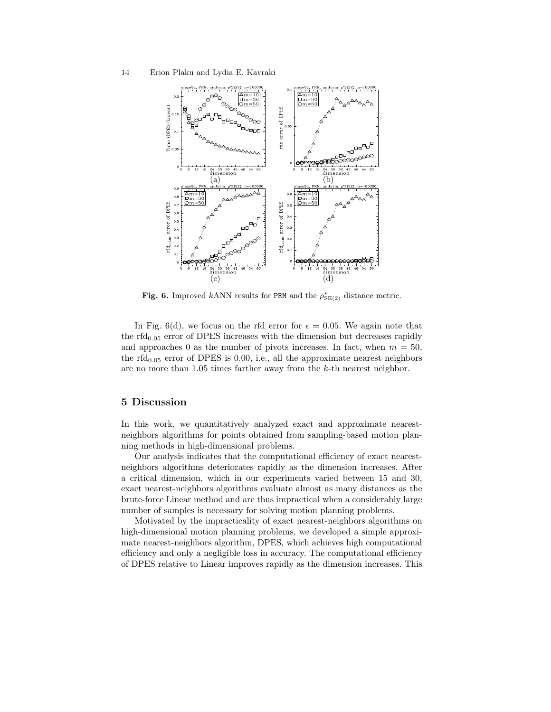

Fig. 6. Improved kANN results for PRM and the  $\rho_{\text{SE}(2)}^*$  distance metric.

In Fig. 6(d), we focus on the rfd error for  $\epsilon = 0.05$ . We again note that the rfd<sub>0.05</sub> error of DPES increases with the dimension but decreases rapidly and approaches 0 as the number of pivots increases. In fact, when  $m = 50$ , the rfd<sub>0.05</sub> error of DPES is 0.00, i.e., all the approximate nearest neighbors are no more than 1.05 times farther away from the k-th nearest neighbor.

# 5 Discussion

In this work, we quantitatively analyzed exact and approximate nearestneighbors algorithms for points obtained from sampling-based motion planning methods in high-dimensional problems.

Our analysis indicates that the computational efficiency of exact nearestneighbors algorithms deteriorates rapidly as the dimension increases. After a critical dimension, which in our experiments varied between 15 and 30, exact nearest-neighbors algorithms evaluate almost as many distances as the brute-force Linear method and are thus impractical when a considerably large number of samples is necessary for solving motion planning problems.

Motivated by the impracticality of exact nearest-neighbors algorithms on high-dimensional motion planning problems, we developed a simple approximate nearest-neighbors algorithm, DPES, which achieves high computational efficiency and only a negligible loss in accuracy. The computational efficiency of DPES relative to Linear improves rapidly as the dimension increases. This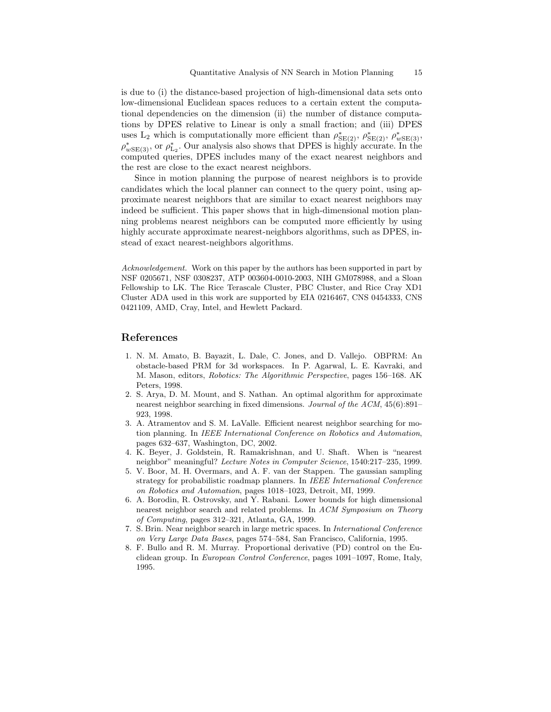is due to (i) the distance-based projection of high-dimensional data sets onto low-dimensional Euclidean spaces reduces to a certain extent the computational dependencies on the dimension (ii) the number of distance computations by DPES relative to Linear is only a small fraction; and (iii) DPES uses L<sub>2</sub> which is computationally more efficient than  $\rho_{SE(2)}^*$ ,  $\rho_{SE(2)}^*$ ,  $\rho_{wSE(3)}^*$ ,  $\rho_{wSE(3)}^{*}$ , or  $\rho_{L_2}^{*}$ . Our analysis also shows that DPES is highly accurate. In the computed queries, DPES includes many of the exact nearest neighbors and the rest are close to the exact nearest neighbors.

Since in motion planning the purpose of nearest neighbors is to provide candidates which the local planner can connect to the query point, using approximate nearest neighbors that are similar to exact nearest neighbors may indeed be sufficient. This paper shows that in high-dimensional motion planning problems nearest neighbors can be computed more efficiently by using highly accurate approximate nearest-neighbors algorithms, such as DPES, instead of exact nearest-neighbors algorithms.

Acknowledgement. Work on this paper by the authors has been supported in part by NSF 0205671, NSF 0308237, ATP 003604-0010-2003, NIH GM078988, and a Sloan Fellowship to LK. The Rice Terascale Cluster, PBC Cluster, and Rice Cray XD1 Cluster ADA used in this work are supported by EIA 0216467, CNS 0454333, CNS 0421109, AMD, Cray, Intel, and Hewlett Packard.

## References

- 1. N. M. Amato, B. Bayazit, L. Dale, C. Jones, and D. Vallejo. OBPRM: An obstacle-based PRM for 3d workspaces. In P. Agarwal, L. E. Kavraki, and M. Mason, editors, Robotics: The Algorithmic Perspective, pages 156–168. AK Peters, 1998.
- 2. S. Arya, D. M. Mount, and S. Nathan. An optimal algorithm for approximate nearest neighbor searching in fixed dimensions. Journal of the ACM, 45(6):891– 923, 1998.
- 3. A. Atramentov and S. M. LaValle. Efficient nearest neighbor searching for motion planning. In IEEE International Conference on Robotics and Automation, pages 632–637, Washington, DC, 2002.
- 4. K. Beyer, J. Goldstein, R. Ramakrishnan, and U. Shaft. When is "nearest neighbor" meaningful? Lecture Notes in Computer Science, 1540:217–235, 1999.
- 5. V. Boor, M. H. Overmars, and A. F. van der Stappen. The gaussian sampling strategy for probabilistic roadmap planners. In IEEE International Conference on Robotics and Automation, pages 1018–1023, Detroit, MI, 1999.
- 6. A. Borodin, R. Ostrovsky, and Y. Rabani. Lower bounds for high dimensional nearest neighbor search and related problems. In ACM Symposium on Theory of Computing, pages 312–321, Atlanta, GA, 1999.
- 7. S. Brin. Near neighbor search in large metric spaces. In International Conference on Very Large Data Bases, pages 574–584, San Francisco, California, 1995.
- 8. F. Bullo and R. M. Murray. Proportional derivative (PD) control on the Euclidean group. In European Control Conference, pages 1091–1097, Rome, Italy, 1995.